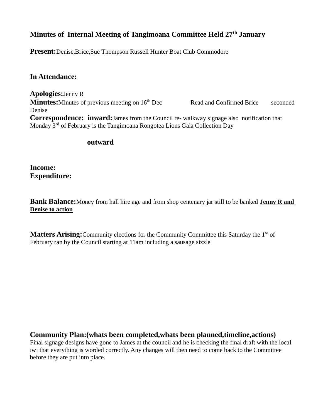# **Minutes of Internal Meeting of Tangimoana Committee Held 27th January**

**Present:**Denise,Brice,Sue Thompson Russell Hunter Boat Club Commodore

### **In Attendance:**

**Apologies:**Jenny R **Minutes:**Minutes of previous meeting on 16<sup>th</sup> Dec Read and Confirmed Brice seconded Denise **Correspondence: inward:**James from the Council re- walkway signage also notification that Monday 3<sup>rd</sup> of February is the Tangimoana Rongotea Lions Gala Collection Day

#### **outward**

**Income: Expenditure:**

**Bank Balance:**Money from hall hire age and from shop centenary jar still to be banked **Jenny R and Denise to action**

**Matters Arising:** Community elections for the Community Committee this Saturday the 1<sup>st</sup> of February ran by the Council starting at 11am including a sausage sizzle

**Community Plan:(whats been completed,whats been planned,timeline,actions)**

Final signage designs have gone to James at the council and he is checking the final draft with the local iwi that everything is worded correctly. Any changes will then need to come back to the Committee before they are put into place.